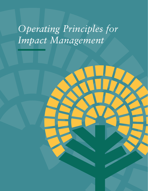# *Operating Principles for Impact Management*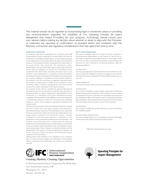This material should not be regarded as incorporating legal or investment advice or providing any recommendation regarding the suitability of the *Operating Principles for Impact Management* (the Impact Principles) for your purposes. Accordingly, please consult your own advisers before making any decision about whether to adopt or align with the Principles, or undertake any reporting or confirmation, as provided herein, and consistent with the fiduciary, contractual, and regulatory considerations that may apply from time to time.

#### **SOME RIGHTS RESERVED**

The material in this work is copyrighted and is a product of the staff of International Finance Corporation/The World Bank with external contributions. The findings, interpretations, and conclusions expressed in this material do not necessarily reflect the views of the Executive Directors of International Finance Corporation/The World Bank, or the governments they represent. The boundaries, colors, denominations, and other information shown on any map in this work do not imply any judgment on the part of International Finance Corporation/The World Bank concerning the legal status of any territory or the endorsement or acceptance of such boundaries. International Finance Corporation/The World Bank do not guarantee the accuracy, reliability, or completeness of the content included in this material, or for the conclusions or judgments described herein, and accepts no responsibility or liability for any omissions or errors (including, without limitation, typographical errors and technical errors) in the content whatsoever or for reliance thereon.

The contents of this work are intended for general informational purposes only and are not intended to constitute legal, securities, or investment advice, an opinion regarding the appropriateness of any investment, or a solicitation of any type. International Finance Corporation/The World Bank or their affiliates may have an investment in, provide other advice or services to, or otherwise have a financial interest in, certain of the companies and parties (including those named herein).

This document may include content provided by third parties, including links and content from third-party websites and publications. International Finance Corporation/The World Bank are not responsible for the accuracy for the content of any third-party information or any linked content contained in any third-party website. Content contained on such third-party websites or otherwise in such publications is not incorporated by reference into this document. The inclusion of any third-party link or content does not imply any endorsement by International Finance Corporation/The World Bank nor by any member of the World Bank Group. All statements and/or opinions expressed in these materials are solely the opinions and the responsibility of the person or entity providing those materials, and do not necessarily reflect the opinion of International Finance Corporation/The World Bank.

Nothing herein shall constitute or be considered to be a limitation upon, or waiver of the privileges and immunities of International Finance Corporation/The World Bank, all of which are specifically reserved.



#### Creating Markets, Creating Opportunities

© 2019 International Finance Corporation/The World Bank 2121 Pennsylvania Avenue, N.W. Washington, D.C. 20433 Internet: www.ifc.org

#### **RIGHTS AND PERMISSIONS**

This work is available under the Creative Commons Attribution-NonCommercial-NoDerivatives 3.0 IGO license (CC BY-NC-ND 3.0 IGO) https://creativecommons.org/licenses/by-nc-nd/3.0/igo/. Under the CC BY-NC-ND 3.0 IGO license, you are free to copy, distribute and transmit this work, including for commercial purposes, under the following conditions:

#### ATTRIBUTION

You must give appropriate credit and provide a link to the license. You may not make any changes to the work or suggest in any way that International Finance Corporation/The World Bank endorses you or your use.

#### NON-COMMERCIAL

You may not use the material for commercial purposes.

#### TRANSLATION

If you create a translation of this material, please add the following disclaimer along with the attribution: This translation was not created by International Finance Corporation/The World Bank and should not be considered an official International Finance Corporation/The World Bank translation. International Finance Corporation/The World Bank shall not be liable for any content or error in this translation.

#### ADAPTATIONS

If you create an adaptation of this material, you may not distribute the modified material.

#### NO ADDITIONAL RESTRICTIONS

You may not apply legal terms or technological measures that legally restrict others from doing anything this license permits.

FEBRUARY 2019 (updated June 2021)



**Operating Principles for Impact Management**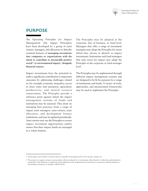

## **PURPOSE**

The *Operating Principles for Impact Management* (the Impact Principles) have been developed by a group of asset owners, managers, and allocators to describe essential features of **managing investments into companies or organizations with the intent to contribute to measurable positive social1,2 or environmental impact,<sup>2</sup> alongside financial returns.** 

Impact investments have the potential to make a significant contribution to important outcomes by addressing challenges related to, for example, economic inequality, access to clean water and sanitation, agriculture productivit y, and natural resource conservation. The Principles provide a reference point against which the impact management systems of funds and institutions may be assessed. They draw on emerging best practices from a range of impact asset managers, asset owners, asset allocators, and development finance institutions, and may be updated periodically. Asset owners may use the Principles to screen impact investment opportunities and/or ensure that their impact funds are managed in a robust fashion.

The Principles may be adopted at the corporate, line of business, or fund level. Managers that offer a range of investment strategies may adopt the Principles for assets which they choose to identify as impact investments. Institutions and fund managers that only invest for impact may adopt the Principles at the corporate or fund manager level.

The Principles may be implemented through different impact management systems and are designed to be fit for purpose for a range of institutions and funds. A variety of tools, approaches, and measurement frameworks may be used to implement the Principles.

<sup>1</sup> Social impact may include economic impact on specific social groups such as low income, women, etc.

<sup>2</sup> The positive or negative primary and secondary effects produced by an investment, either directly or indirectly, and intended or unintended. This definition is adapted from the definition of the Organization for Economic Co-operation and Development's Development Assistance Committee (OECD-DAC).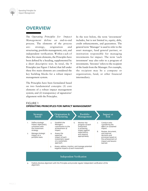

# **OVERVIEW**

The *Operating Principles for Impact Management* define an end-to-end process. The elements of the process are: strategy, origination and structuring, portfolio management, exit, and independent verification. W ithin e ach o f these five main elements, the Principles have been defined by a heading, supplemented by a short descriptive text. In total, the 9 Principles (see Figure 1 below) that fall under these five main elements are considered the key building blocks for a robust impact management system.

The Principles have been formulated based on two fundamental concepts: (1) core elements of a robust impact management system; and (2) transparency of signatories' alignment with the Principles.

In the text below, the term 'investment' includes, but is not limited to, equity, debt, credit enhancements, and guarantees. The general term 'Manager' is used to refer to the asset manager, fund general partner, or institution responsible for managing investments for impact. The term 'each investment' may also refer to a program of investments. 'Investee' refers to the recipient of the funds from the Manager. For example, the recipient may be a company or organization, fund, or other financial intermediary.

#### FIGURE 1 **OPERATING PRINCIPLES FOR IMPACT MANAGEMENT**

|                | Strategic<br>Intent                                                                        |               | Origination &<br>Structuring                                                                  |                                                                                                       | Portfolio<br>Management       |                                                                                         | Impact at<br>Exit                                                                                         |  |  |
|----------------|--------------------------------------------------------------------------------------------|---------------|-----------------------------------------------------------------------------------------------|-------------------------------------------------------------------------------------------------------|-------------------------------|-----------------------------------------------------------------------------------------|-----------------------------------------------------------------------------------------------------------|--|--|
| $\mathbf{1}$ . | Define strategic<br>impact objective(s),<br>consistent with<br>the investment<br>strategy. | $\mathcal{R}$ | <b>Establish the</b><br>Manager's<br>contribution to the<br>achievement of<br>impact.         | Monitor the<br>6.<br>progress of each<br>investment<br>in achieving<br>impact against<br>expectations | 7.<br>8.                      | Conduct exits<br>considering the<br>effect on sustained<br>impact.<br>Review, document, |                                                                                                           |  |  |
| 2.             | Manage strategic<br>impact on a<br>portfolio basis.                                        | 4.            | Assess the<br>expected<br>impact of each<br>investment, based<br>on a systematic<br>approach. |                                                                                                       | and respond<br>appropriately. |                                                                                         | and improve<br>decisions and<br>processes based on<br>the achievement of<br>impact and lessons<br>learned |  |  |
|                |                                                                                            | 5.            | Assess, address, monitor, and manage potential<br>negative impacts of each investment.        |                                                                                                       |                               |                                                                                         |                                                                                                           |  |  |
|                | <b>Independent Verification</b>                                                            |               |                                                                                               |                                                                                                       |                               |                                                                                         |                                                                                                           |  |  |

9. Publicly disclose alignment with the Principles and provide regular independent verification of the alignment.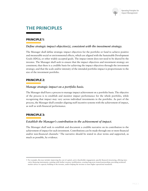

# **THE PRINCIPLES**

## **PRINCIPLE 1:**

#### *Define strategic impact objective(s), consistent with the investment strategy.*

The Manager shall define strategic impact objectives for the portfolio or fund to achieve positive and measurable social or environmental effects, which are aligned with the Sustainable Development Goals (SDGs), or other widely accepted goals. The impact intent does not need to be shared by the investee. The Manager shall seek to ensure that the impact objectives and investment strategy are consistent; that there is a credible basis for achieving the impact objectives through the investment strategy; and that the scale and/or intensity of the intended portfolio impact is proportionate to the size of the investment portfolio.

#### **PRINCIPLE 2:**

#### *Manage strategic impact on a portfolio basis.*

The Manager shall have a process to manage impact achievement on a portfolio basis. The objective of the process is to establish and monitor impact performance for the whole portfolio, while recognizing that impact may vary across individual investments in the portfolio. As part of the process, the Manager shall consider aligning staff incentive systems with the achievement of impact, as well as with financial performance.

#### **PRINCIPLE 3:**

#### *Establish the Manager's contribution to the achievement of impact.*

The Manager shall seek to establish and document a credible narrative on its contribution to the achievement of impact for each investment. Contributions can be made through one or more financial and/or non-financial channels.<sup>3</sup> The narrative should be stated in clear terms and supported, as much as possible, by evidence.

<sup>3</sup> For example, this may include: improving the cost of capital, active shareholder engagement, specific financial structuring, offering innovative financing instruments, assisting with further resource mobilization, creating long-term trusted partnerships, providing technical/ market advice or capacity building to the investee, and/or helping the investee to meet higher operational standards.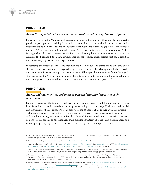

## **PRINCIPLE 4:**

#### *Assess the expected impact of each investment, based on a systematic approach.*

For each investment the Manager shall assess, in advance and, where possible, quantify the concrete, positive impact<sup>4</sup> potential deriving from the investment. The assessment should use a suitable results measurement framework that aims to answer these fundamental questions: (1) What is the intended impact? (2) Who experiences the intended impact? (3) How significant is the intended impact?<sup>5</sup> The Manager shall also seek to assess the likelihood of achieving the investment's expected impact. In assessing the likelihood, the Manager shall identify the significant risk factors that could result in the impact varying from ex-ante expectations.

In assessing the impact potential, the Manager shall seek evidence to assess the relative size of the challenge addressed within the targeted geographical context. The Manager shall also consider opportunities to increase the impact of the investment. Where possible and relevant for the Manager's strategic intent, the Manager may also consider indirect and systemic impacts. Indicators shall, to the extent possible, be aligned with industry standards<sup>6</sup> and follow best practice.<sup>7</sup>

#### **PRINCIPLE 5:**

## *Assess, address, monitor, and manage potential negative impacts of each investment.*

For each investment the Manager shall seek, as part of a systematic and documented process, to identify and avoid, and if avoidance is not possible, mitigate and manage Environmental, Social and Governance  $(ESG)^8$  risks. Where appropriate, the Manager shall engage with the investee to seek its commitment to take action to address potential gaps in current investee systems, processes, and standards, using an approach aligned with good international industry practice.<sup>9</sup> As part of portfolio management, the Manager shall monitor investees' ESG risk and performance, and where appropriate, engage with the investee to address gaps and unexpected events.

<sup>4</sup> Focus shall be on the material social and environmental impacts resulting from the investment. Impacts assessed under Principle 4 may also include positive ESG effects derived from the investment.

<sup>5</sup> Adapted from the Impact Management Project (*[www.impactmanagementproject.com](http://www.impactmanagementproject.com)*).

<sup>6</sup> Industry indicator standards include HIPSO (*https://indicators.ifipartnership.org/about/*); IRIS (*[iris.thegiin.org](http://iris.thegiin.org)*); GIIRS (*http://b-analytics. net/giirs-funds*); GRI (*[www.globalreporting.org/Pages/default.aspx](http://www.globalreporting.org/Pages/default.aspx)* ); and SASB (*[www.sasb.org](http://www.sasb.org)*), among others.

<sup>7</sup> International best practice indicators include SMART (Specific, Measurable, Attainable, Relevant, and Timely), and SPICED (Subjective, Participatory, Interpreted & communicable, Cross-checked, Empowering, and Diverse & disaggregated), among others.

<sup>8</sup> The application of good ESG management will potentially have positive impacts that may or may not be the principal targeted impacts of the Manager. Positive impacts resulting from ESG matters shall be measured and managed alongside with, or directly embedded in, the impact management system referenced in Principles 4 and 6.

<sup>9</sup> Examples of good international industry practice include: IFC's Performance Standards (*[www.ifc.org/performancestandards](http://www.ifc.org/performancestandards)*); IFC's Corporate Governance Methodology (*[www.ifc.org/cgmethodology](http://www.ifc.org/cgmethodology)*), the United Nations Guiding Principles for Business and Human Rights (*[www.unglobalcompact.org/library/2](http://www.unglobalcompact.org/library/2)*); and the OECD Guidelines for Multinational Enterprises (*http://mneguidelines.oecd.org/ themes/human-rights.htm*).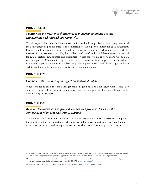

#### **PRINCIPLE 6:**

## *Monitor the progress of each investment in achieving impact against expectations and respond appropriately.*

The Manager shall use the results framework (referenced in Principle 4) to monitor progress toward the achievement of positive impacts in comparison to the expected impact for each investment. Progress shall be monitored using a predefined process for sharing performance data with the investee. To the best extent possible, this shall outline how often data will be collected; the method for data collection; data sources; responsibilities for data collection; and how, and to whom, data will be reported. When monitoring indicates that the investment is no longer expected to achieve its intended impacts, the Manager shall seek to pursue appropriate action.10 The Manager shall also seek to use the results framework to capture investment outcomes.<sup>11</sup>

#### **PRINCIPLE 7:**

#### *Conduct exits considering the effect on sustained impact.*

When conducting an exit,<sup>12</sup> the Manager shall, in good faith and consistent with its fiduciary concerns, consider the effect which the timing, structure, and process of its exit will have on the sustainability of the impact.

#### **PRINCIPLE 8:**

### *Review, document, and improve decisions and processes based on the achievement of impact and lessons learned.*

The Manager shall review and document the impact performance of each investment, compare the expected and actual impact, and other positive and negative impacts, and use these findings to improve operational and strategic investment decisions, as well as management processes.

<sup>10</sup> Actions could include active engagement with the investee; early divestment; adjusting indicators/expectations due to significant, unforeseen, and changing circumstances; or other appropriate measures to improve the portfolio's expected impact performance.

<sup>11</sup> Outcomes are the short-term and medium-term effects of an investment's outputs, while the outputs are the products, capital goods, and services resulting from the investment. Adopted from OECD-DAC (*[www.oecd.org/dac/](http://www.oecd.org/dac/)*).

<sup>12</sup> This may include debt, equity, or bond sales, and excludes self-liquidating or maturing instruments.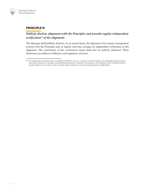

### **PRINCIPLE 9:**

## *Publicly disclose alignment with the Principles and provide regular independent verification13 of the alignment.*

The Manager shall publicly disclose, on an annual basis, the alignment of its impact management systems with the Principles and, at regular intervals, arrange for independent verification of this alignment. The conclusions of this verification report shall also be publicly disclosed. These disclosures are subject to fiduciary and regulatory concerns.

<sup>13</sup> The independent verification may be conducted in different ways, i.e., as part of a financial audit, by an independent internal impact assessment committee, or through a portfolio/fund performance evaluation. The frequency and complexity of the verification process should consider its cost, relative to the size of the fund or institution concerned, and appropriate confidentiality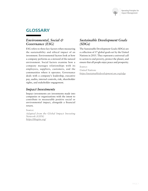

# **GLOSSARY**

## *Environmental, Social & Governance (ESG)*

ESG refers to three key factors when measuring the sustainability and ethical impact of an investment. Environmental factors look at how a company performs as a steward of the natural environment. Social factors examine how a company manages relationships with its employees, suppliers, customers, and the communities where it operates. Governance deals with a company's leadership, executive pay, audits, internal controls, risk, shareholder rights, and stakeholder engagement.

## *Impact Investments*

Impact investments are investments made into companies or organizations with the intent to contribute to measurable positive social or environmental impact, alongside a financial return.

*Source:*

*Adapted from the Global Impact Investing Network (GIIN) https://thegiin.org/*

## *Sustainable Development Goals (SDGs)*

The Sustainable Development Goals (SDGs) are a collection of 17 global goals set by the United Nations in 2015. They represent a universal call to action to end poverty, protect the planet, and ensure that all people enjoy peace and prosperity.

*Source: United Nations https://sustainabledevelopment.un.org/sdgs*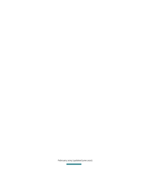February 2019 (updated June 2021)

**Contract Contract**